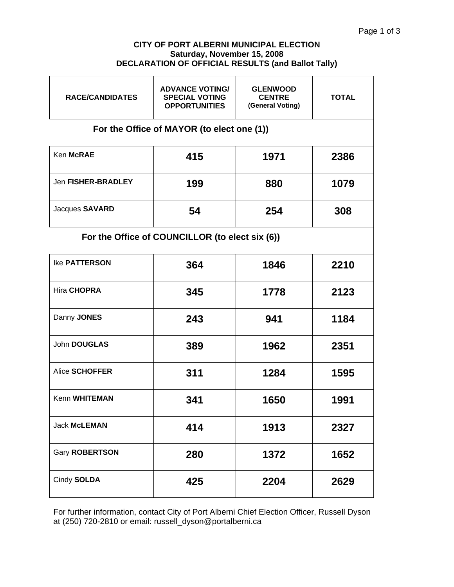#### **CITY OF PORT ALBERNI MUNICIPAL ELECTION Saturday, November 15, 2008 DECLARATION OF OFFICIAL RESULTS (and Ballot Tally)**

| <b>RACE/CANDIDATES</b>                          | <b>ADVANCE VOTING/</b><br><b>SPECIAL VOTING</b><br><b>OPPORTUNITIES</b> | <b>GLENWOOD</b><br><b>CENTRE</b><br>(General Voting) | <b>TOTAL</b> |  |  |  |  |
|-------------------------------------------------|-------------------------------------------------------------------------|------------------------------------------------------|--------------|--|--|--|--|
| For the Office of MAYOR (to elect one (1))      |                                                                         |                                                      |              |  |  |  |  |
| Ken McRAE                                       | 415                                                                     | 1971                                                 | 2386         |  |  |  |  |
| Jen FISHER-BRADLEY                              | 199                                                                     | 880                                                  | 1079         |  |  |  |  |
| Jacques SAVARD                                  | 54                                                                      | 254                                                  | 308          |  |  |  |  |
| For the Office of COUNCILLOR (to elect six (6)) |                                                                         |                                                      |              |  |  |  |  |
| <b>Ike PATTERSON</b>                            | 364                                                                     | 1846                                                 | 2210         |  |  |  |  |
| Hira CHOPRA                                     | 345                                                                     | 1778                                                 | 2123         |  |  |  |  |
| Danny JONES                                     | 243                                                                     | 941                                                  | 1184         |  |  |  |  |
| John DOUGLAS                                    | 389                                                                     | 1962                                                 | 2351         |  |  |  |  |
| <b>Alice SCHOFFER</b>                           | 311                                                                     | 1284                                                 | 1595         |  |  |  |  |
| Kenn WHITEMAN                                   | 341                                                                     | 1650                                                 | 1991         |  |  |  |  |
| <b>Jack McLEMAN</b>                             | 414                                                                     | 1913                                                 | 2327         |  |  |  |  |
| Gary ROBERTSON                                  | 280                                                                     | 1372                                                 | 1652         |  |  |  |  |
| Cindy SOLDA                                     | 425                                                                     | 2204                                                 | 2629         |  |  |  |  |

For further information, contact City of Port Alberni Chief Election Officer, Russell Dyson at (250) 720-2810 or email: russell\_dyson@portalberni.ca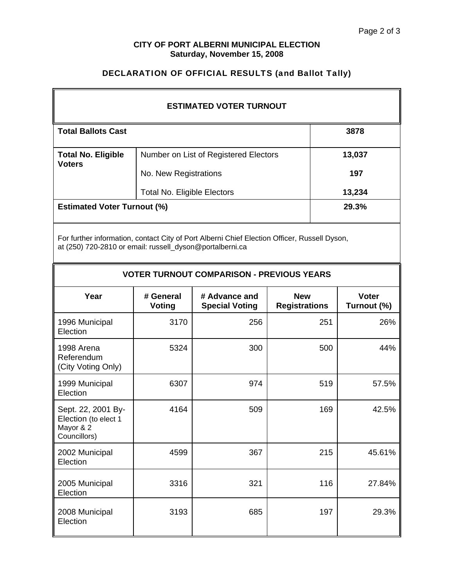### **CITY OF PORT ALBERNI MUNICIPAL ELECTION Saturday, November 15, 2008**

# DECLARATION OF OFFICIAL RESULTS (and Ballot Tally)

| <b>ESTIMATED VOTER TURNOUT</b>                                                                                                                           |                                    |                                        |                                    |        |                             |  |  |  |
|----------------------------------------------------------------------------------------------------------------------------------------------------------|------------------------------------|----------------------------------------|------------------------------------|--------|-----------------------------|--|--|--|
| <b>Total Ballots Cast</b>                                                                                                                                |                                    |                                        |                                    |        | 3878                        |  |  |  |
| <b>Total No. Eligible</b><br><b>Voters</b>                                                                                                               |                                    | Number on List of Registered Electors  |                                    | 13,037 |                             |  |  |  |
|                                                                                                                                                          | No. New Registrations              |                                        |                                    | 197    |                             |  |  |  |
|                                                                                                                                                          | <b>Total No. Eligible Electors</b> |                                        |                                    | 13,234 |                             |  |  |  |
| <b>Estimated Voter Turnout (%)</b>                                                                                                                       |                                    |                                        |                                    |        | 29.3%                       |  |  |  |
| For further information, contact City of Port Alberni Chief Election Officer, Russell Dyson,<br>at (250) 720-2810 or email: russell_dyson@portalberni.ca |                                    |                                        |                                    |        |                             |  |  |  |
| <b>VOTER TURNOUT COMPARISON - PREVIOUS YEARS</b>                                                                                                         |                                    |                                        |                                    |        |                             |  |  |  |
| Year                                                                                                                                                     | # General<br><b>Voting</b>         | # Advance and<br><b>Special Voting</b> | <b>New</b><br><b>Registrations</b> |        | <b>Voter</b><br>Turnout (%) |  |  |  |
| 1996 Municipal<br>Election                                                                                                                               | 3170                               | 256                                    | 251                                |        | 26%                         |  |  |  |
| 1998 Arena<br>Referendum<br>(City Voting Only)                                                                                                           | 5324                               | 300                                    | 500                                |        | 44%                         |  |  |  |
| 1999 Municipal<br>Election                                                                                                                               | 6307                               | 974                                    | 519                                |        | 57.5%                       |  |  |  |
| Sept. 22, 2001 By-<br>Election (to elect 1<br>Mayor & 2<br>Councillors)                                                                                  | 4164                               | 509                                    | 169                                |        | 42.5%                       |  |  |  |
| 2002 Municipal<br>Election                                                                                                                               | 4599                               | 367                                    | 215                                |        | 45.61%                      |  |  |  |
| 2005 Municipal<br>Election                                                                                                                               | 3316                               | 321                                    |                                    | 116    | 27.84%                      |  |  |  |
| 2008 Municipal<br>Election                                                                                                                               | 3193                               | 685                                    |                                    | 197    | 29.3%                       |  |  |  |